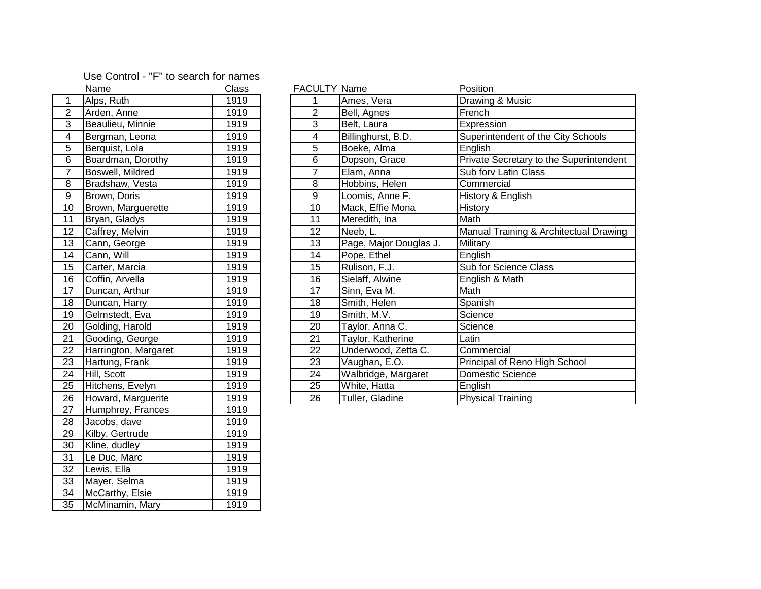## Use Control - "F" to search for names

|                         | Name                 | Class | <b>FACULTY Name</b> |                        | Position                 |
|-------------------------|----------------------|-------|---------------------|------------------------|--------------------------|
| 1                       | Alps, Ruth           | 1919  | Ames, Vera<br>1     |                        | Drawing & Music          |
| $\overline{2}$          | Arden, Anne          | 1919  | $\overline{2}$      | Bell, Agnes            | French                   |
| $\overline{3}$          | Beaulieu, Minnie     | 1919  | $\overline{3}$      | Belt, Laura            | Expression               |
| $\overline{\mathbf{4}}$ | Bergman, Leona       | 1919  | $\overline{4}$      | Billinghurst, B.D.     | Superintendent o         |
| $\overline{5}$          | Berquist, Lola       | 1919  | $\overline{5}$      | Boeke, Alma            | English                  |
| $\overline{6}$          | Boardman, Dorothy    | 1919  | $\overline{6}$      | Dopson, Grace          | Private Secretary        |
| $\overline{7}$          | Boswell, Mildred     | 1919  | $\overline{7}$      | Elam, Anna             | Sub forv Latin Cla       |
| 8                       | Bradshaw, Vesta      | 1919  | 8                   | Hobbins, Helen         | Commercial               |
| $\overline{9}$          | Brown, Doris         | 1919  | $\overline{9}$      | Loomis, Anne F.        | History & English        |
| 10                      | Brown, Marguerette   | 1919  | 10                  | Mack, Effie Mona       | History                  |
| 11                      | Bryan, Gladys        | 1919  | 11                  | Meredith, Ina          | Math                     |
| 12                      | Caffrey, Melvin      | 1919  | 12                  | Neeb, L.               | Manual Training          |
| 13                      | Cann, George         | 1919  | 13                  | Page, Major Douglas J. | Military                 |
| 14                      | Cann, Will           | 1919  | 14                  | Pope, Ethel            | English                  |
| 15                      | Carter, Marcia       | 1919  | $\overline{15}$     | Rulison, F.J.          | Sub for Science (        |
| 16                      | Coffin, Arvella      | 1919  | 16                  | Sielaff, Alwine        | English & Math           |
| 17                      | Duncan, Arthur       | 1919  | 17                  | Sinn, Eva M.           | Math                     |
| 18                      | Duncan, Harry        | 1919  | 18                  | Smith, Helen           | Spanish                  |
| 19                      | Gelmstedt, Eva       | 1919  | 19                  | Smith, M.V.            | Science                  |
| 20                      | Golding, Harold      | 1919  | 20                  | Taylor, Anna C.        | Science                  |
| 21                      | Gooding, George      | 1919  | 21                  | Taylor, Katherine      | Latin                    |
| 22                      | Harrington, Margaret | 1919  | 22                  | Underwood, Zetta C.    | Commercial               |
| 23                      | Hartung, Frank       | 1919  | 23                  | Vaughan, E.O.          | Principal of Reno        |
| 24                      | Hill, Scott          | 1919  | 24                  | Walbridge, Margaret    | Domestic Scienc          |
| 25                      | Hitchens, Evelyn     | 1919  | $\overline{25}$     | White, Hatta           | English                  |
| 26                      | Howard, Marguerite   | 1919  | 26                  | Tuller, Gladine        | <b>Physical Training</b> |
| 27                      | Humphrey, Frances    | 1919  |                     |                        |                          |
| 28                      | Jacobs, dave         | 1919  |                     |                        |                          |
| 29                      | Kilby, Gertrude      | 1919  |                     |                        |                          |
| $\overline{30}$         | Kline, dudley        | 1919  |                     |                        |                          |
| 31                      | Le Duc, Marc         | 1919  |                     |                        |                          |
| 32                      | Lewis, Ella          | 1919  |                     |                        |                          |
| $\overline{33}$         | Mayer, Selma         | 1919  |                     |                        |                          |
| 34                      | McCarthy, Elsie      | 1919  |                     |                        |                          |
| $\overline{35}$         | McMinamin, Mary      | 1919  |                     |                        |                          |

|                         | Name                     | <b>Class</b> | <b>FACULTY Name</b> |                        | Position                                |
|-------------------------|--------------------------|--------------|---------------------|------------------------|-----------------------------------------|
|                         | Alps, Ruth               | 1919         |                     | Ames, Vera             | Drawing & Music                         |
| $\overline{2}$          | Arden, Anne              | 1919         | 2                   | Bell, Agnes            | French                                  |
| $\overline{3}$          | Beaulieu, Minnie         | 1919         | 3                   | Belt, Laura            | Expression                              |
| $\overline{\mathbf{4}}$ | Bergman, Leona           | 1919         | 4                   | Billinghurst, B.D.     | Superintendent of the City Schools      |
| 5                       | Berquist, Lola           | 1919         | 5                   | Boeke, Alma            | English                                 |
| $\,6$                   | Boardman, Dorothy        | 1919         | 6                   | Dopson, Grace          | Private Secretary to the Superintendent |
| $\overline{7}$          | Boswell, Mildred         | 1919         | 7                   | Elam, Anna             | Sub forv Latin Class                    |
| 8                       | Bradshaw, Vesta          | 1919         | 8                   | Hobbins, Helen         | Commercial                              |
| 9                       | Brown, Doris             | 1919         | 9                   | Loomis, Anne F.        | History & English                       |
| 10 <sup>°</sup>         | Brown, Marguerette       | 1919         | 10                  | Mack, Effie Mona       | History                                 |
| 11                      | Bryan, Gladys            | 1919         | 11                  | Meredith, Ina          | Math                                    |
| 12                      | Caffrey, Melvin          | 1919         | 12                  | Neeb, L.               | Manual Training & Architectual Drawing  |
| 13                      | Cann, George             | 1919         | 13                  | Page, Major Douglas J. | Military                                |
| 14                      | Cann, Will               | 1919         | 14                  | Pope, Ethel            | English                                 |
| 15 <sub>1</sub>         | Carter, Marcia           | 1919         | 15                  | Rulison, F.J.          | Sub for Science Class                   |
| 16                      | Coffin, Arvella          | 1919         | 16                  | Sielaff, Alwine        | English & Math                          |
| 17 <sub>2</sub>         | Duncan, Arthur           | 1919         | 17                  | Sinn, Eva M.           | Math                                    |
| 18                      | Duncan, Harry            | 1919         | 18                  | Smith, Helen           | Spanish                                 |
| 19                      | Gelmstedt, Eva           | 1919         | 19                  | Smith, M.V.            | Science                                 |
| 20                      | Golding, Harold          | 1919         | 20                  | Taylor, Anna C.        | Science                                 |
| 21                      | Gooding, George          | 1919         | 21                  | Taylor, Katherine      | Latin                                   |
| $\overline{22}$         | Harrington, Margaret     | 1919         | 22                  | Underwood, Zetta C.    | Commercial                              |
| $\overline{23}$         | Hartung, Frank           | 1919         | 23                  | Vaughan, E.O.          | Principal of Reno High School           |
| $\overline{24}$         | Hill, Scott              | 1919         | 24                  | Walbridge, Margaret    | Domestic Science                        |
| 25                      | Hitchens, Evelyn         | 1919         | 25                  | White, Hatta           | English                                 |
| 26                      | <b>Howard Marguerite</b> | 1919         | 26                  | Tuller Gladine         | Physical Training                       |